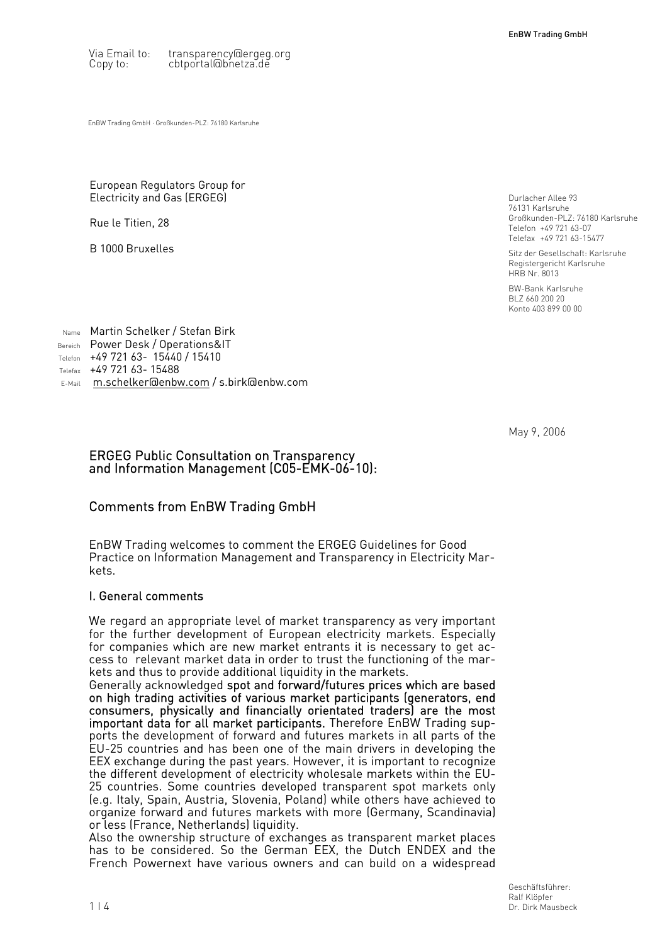Via Email to: transparency@ergeg.org Copy to: cbtportal@bnetza.de

EnBW Trading GmbH · Großkunden-PLZ: 76180 Karlsruhe

#### European Regulators Group for Electricity and Gas (ERGEG)

Rue le Titien, 28

B 1000 Bruxelles

Durlacher Allee 93 76131 Karlsruhe Großkunden-PLZ: 76180 Karlsruhe Telefon +49 721 63-07 Telefax +49 721 63-15477

Sitz der Gesellschaft: Karlsruhe Registergericht Karlsruhe HRB Nr. 8013

BW-Bank Karlsruhe BLZ 660 200 20 Konto 403 899 00 00

Name Martin Schelker / Stefan Birk Bereich Power Desk / Operations&IT Telefon +49 721 63- 15440 / 15410 Telefax +49 721 63- 15488 E-Mail m[.schelker@enbw.com](mailto:m.schelker@enbw.com) / s.birk@enbw.com

May 9, 2006

#### ERGEG Public Consultation on Transparency and Information Management (C05-EMK-06-10):

# Comments from EnBW Trading GmbH

EnBW Trading welcomes to comment the ERGEG Guidelines for Good Practice on Information Management and Transparency in Electricity Markets.

### I. General comments

We regard an appropriate level of market transparency as very important for the further development of European electricity markets. Especially for companies which are new market entrants it is necessary to get access to relevant market data in order to trust the functioning of the markets and thus to provide additional liquidity in the markets.

Generally acknowledged spot and forward/futures prices which are based on high trading activities of various market participants (generators, end consumers, physically and financially orientated traders) are the most important data for all market participants. Therefore EnBW Trading supports the development of forward and futures markets in all parts of the EU-25 countries and has been one of the main drivers in developing the EEX exchange during the past years. However, it is important to recognize the different development of electricity wholesale markets within the EU-25 countries. Some countries developed transparent spot markets only (e.g. Italy, Spain, Austria, Slovenia, Poland) while others have achieved to organize forward and futures markets with more (Germany, Scandinavia) or less (France, Netherlands) liquidity.

Also the ownership structure of exchanges as transparent market places has to be considered. So the German EEX, the Dutch ENDEX and the French Powernext have various owners and can build on a widespread

> Geschäftsführer: Ralf Klöpfer Dr. Dirk Mausbeck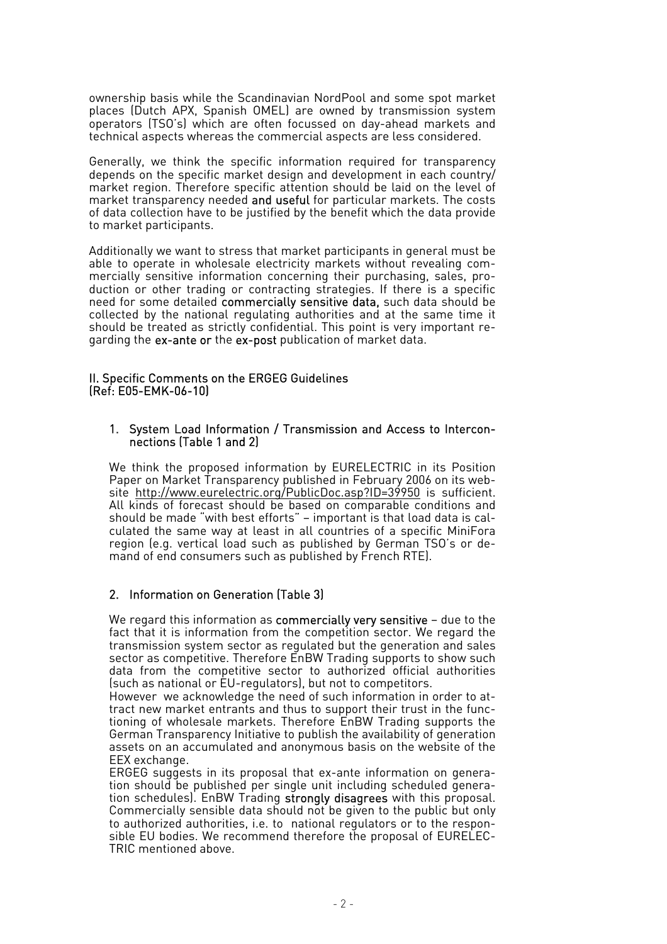ownership basis while the Scandinavian NordPool and some spot market places (Dutch APX, Spanish OMEL) are owned by transmission system operators (TSO's) which are often focussed on day-ahead markets and technical aspects whereas the commercial aspects are less considered.

Generally, we think the specific information required for transparency depends on the specific market design and development in each country/ market region. Therefore specific attention should be laid on the level of market transparency needed and useful for particular markets. The costs of data collection have to be justified by the benefit which the data provide to market participants.

Additionally we want to stress that market participants in general must be able to operate in wholesale electricity markets without revealing commercially sensitive information concerning their purchasing, sales, production or other trading or contracting strategies. If there is a specific need for some detailed commercially sensitive data, such data should be collected by the national regulating authorities and at the same time it should be treated as strictly confidential. This point is very important regarding the ex-ante or the ex-post publication of market data.

### II. Specific Comments on the ERGEG Guidelines (Ref: E05-EMK-06-10)

#### 1. System Load Information / Transmission and Access to Interconnections (Table 1 and 2)

We think the proposed information by EURELECTRIC in its Position Paper on Market Transparency published in February 2006 on its website <http://www.eurelectric.org/PublicDoc.asp?ID=39950>is sufficient. All kinds of forecast should be based on comparable conditions and should be made "with best efforts" – important is that load data is calculated the same way at least in all countries of a specific MiniFora region (e.g. vertical load such as published by German TSO's or demand of end consumers such as published by French RTE).

# 2. Information on Generation (Table 3)

We regard this information as commercially very sensitive – due to the fact that it is information from the competition sector. We regard the transmission system sector as regulated but the generation and sales sector as competitive. Therefore EnBW Trading supports to show such data from the competitive sector to authorized official authorities (such as national or EU-regulators), but not to competitors.

However we acknowledge the need of such information in order to attract new market entrants and thus to support their trust in the functioning of wholesale markets. Therefore EnBW Trading supports the German Transparency Initiative to publish the availability of generation assets on an accumulated and anonymous basis on the website of the EEX exchange.

ERGEG suggests in its proposal that ex-ante information on generation should be published per single unit including scheduled generation schedules). EnBW Trading strongly disagrees with this proposal. Commercially sensible data should not be given to the public but only to authorized authorities, i.e. to national regulators or to the responsible EU bodies. We recommend therefore the proposal of EURELEC-TRIC mentioned above.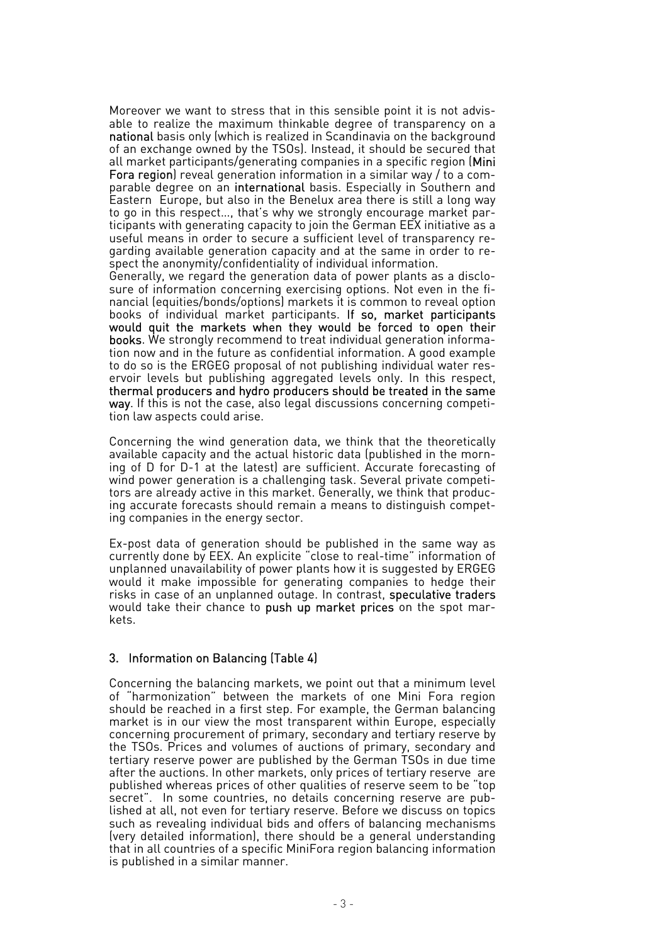Moreover we want to stress that in this sensible point it is not advisable to realize the maximum thinkable degree of transparency on a national basis only (which is realized in Scandinavia on the background of an exchange owned by the TSOs). Instead, it should be secured that all market participants/generating companies in a specific region (Mini Fora region) reveal generation information in a similar way / to a comparable degree on an international basis. Especially in Southern and Eastern Europe, but also in the Benelux area there is still a long way to go in this respect…, that's why we strongly encourage market participants with generating capacity to join the German EEX initiative as a useful means in order to secure a sufficient level of transparency regarding available generation capacity and at the same in order to respect the anonymity/confidentiality of individual information.

Generally, we regard the generation data of power plants as a disclosure of information concerning exercising options. Not even in the financial (equities/bonds/options) markets it is common to reveal option books of individual market participants. If so, market participants would quit the markets when they would be forced to open their books. We strongly recommend to treat individual generation information now and in the future as confidential information. A good example to do so is the ERGEG proposal of not publishing individual water reservoir levels but publishing aggregated levels only. In this respect, thermal producers and hydro producers should be treated in the same way. If this is not the case, also legal discussions concerning competition law aspects could arise.

Concerning the wind generation data, we think that the theoretically available capacity and the actual historic data (published in the morning of D for D-1 at the latest) are sufficient. Accurate forecasting of wind power generation is a challenging task. Several private competitors are already active in this market. Generally, we think that producing accurate forecasts should remain a means to distinguish competing companies in the energy sector.

Ex-post data of generation should be published in the same way as currently done by EEX. An explicite "close to real-time" information of unplanned unavailability of power plants how it is suggested by ERGEG would it make impossible for generating companies to hedge their risks in case of an unplanned outage. In contrast, speculative traders would take their chance to push up market prices on the spot markets.

### 3. Information on Balancing (Table 4)

Concerning the balancing markets, we point out that a minimum level of "harmonization" between the markets of one Mini Fora region should be reached in a first step. For example, the German balancing market is in our view the most transparent within Europe, especially concerning procurement of primary, secondary and tertiary reserve by the TSOs. Prices and volumes of auctions of primary, secondary and tertiary reserve power are published by the German TSOs in due time after the auctions. In other markets, only prices of tertiary reserve are published whereas prices of other qualities of reserve seem to be "top secret". In some countries, no details concerning reserve are published at all, not even for tertiary reserve. Before we discuss on topics such as revealing individual bids and offers of balancing mechanisms (very detailed information), there should be a general understanding that in all countries of a specific MiniFora region balancing information is published in a similar manner.